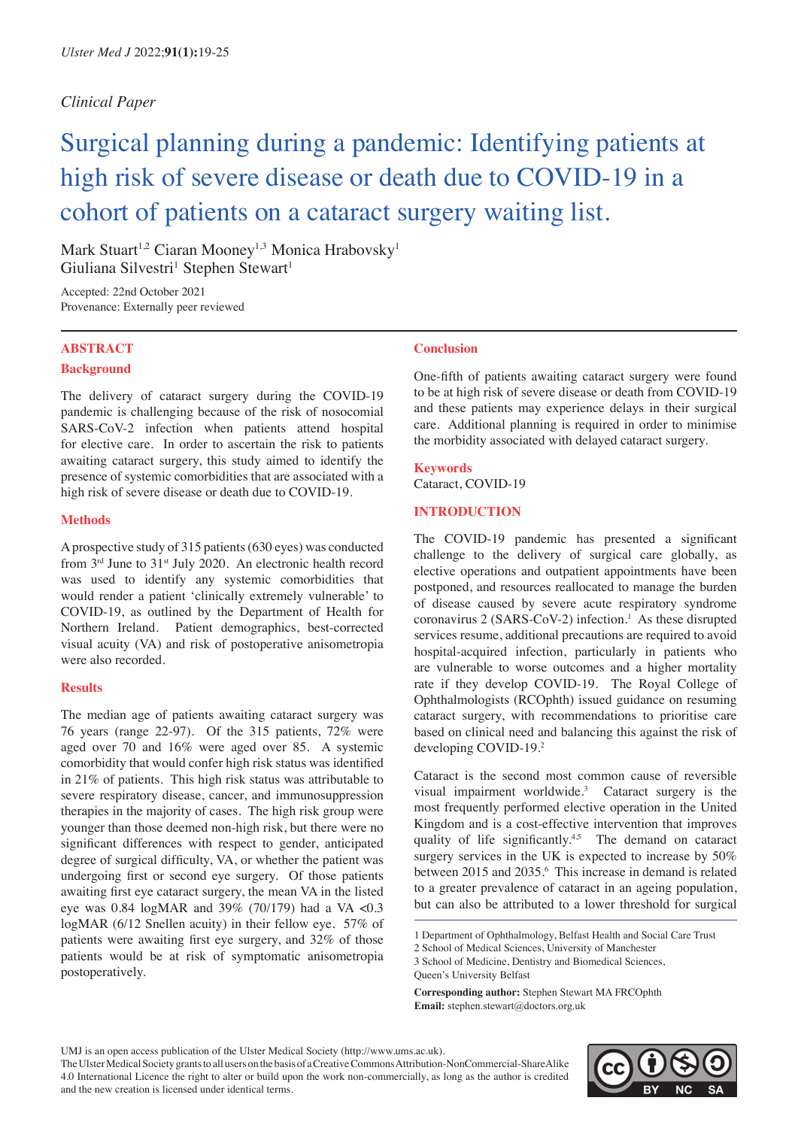# *Clinical Paper*

# Surgical planning during a pandemic: Identifying patients at high risk of severe disease or death due to COVID-19 in a cohort of patients on a cataract surgery waiting list.

Mark Stuart<sup>1,2</sup> Ciaran Mooney<sup>1,3</sup> Monica Hrabovsky<sup>1</sup> Giuliana Silvestri<sup>1</sup> Stephen Stewart<sup>1</sup>

Accepted: 22nd October 2021 Provenance: Externally peer reviewed

## **ABSTRACT Background**

The delivery of cataract surgery during the COVID-19 pandemic is challenging because of the risk of nosocomial SARS-CoV-2 infection when patients attend hospital for elective care. In order to ascertain the risk to patients awaiting cataract surgery, this study aimed to identify the presence of systemic comorbidities that are associated with a high risk of severe disease or death due to COVID-19.

#### **Methods**

A prospective study of 315 patients (630 eyes) was conducted from  $3<sup>rd</sup>$  June to  $31<sup>st</sup>$  July 2020. An electronic health record was used to identify any systemic comorbidities that would render a patient 'clinically extremely vulnerable' to COVID-19, as outlined by the Department of Health for Northern Ireland. Patient demographics, best-corrected visual acuity (VA) and risk of postoperative anisometropia were also recorded.

## **Results**

The median age of patients awaiting cataract surgery was 76 years (range 22-97). Of the 315 patients, 72% were aged over 70 and 16% were aged over 85. A systemic comorbidity that would confer high risk status was identified in 21% of patients. This high risk status was attributable to severe respiratory disease, cancer, and immunosuppression therapies in the majority of cases. The high risk group were younger than those deemed non-high risk, but there were no significant differences with respect to gender, anticipated degree of surgical difficulty, VA, or whether the patient was undergoing first or second eye surgery. Of those patients awaiting first eye cataract surgery, the mean VA in the listed eye was 0.84 logMAR and 39% (70/179) had a VA <0.3 logMAR (6/12 Snellen acuity) in their fellow eye. 57% of patients were awaiting first eye surgery, and 32% of those patients would be at risk of symptomatic anisometropia postoperatively.

## **Conclusion**

One-fifth of patients awaiting cataract surgery were found to be at high risk of severe disease or death from COVID-19 and these patients may experience delays in their surgical care. Additional planning is required in order to minimise the morbidity associated with delayed cataract surgery.

#### **Keywords**

Cataract, COVID-19

#### **INTRODUCTION**

The COVID-19 pandemic has presented a significant challenge to the delivery of surgical care globally, as elective operations and outpatient appointments have been postponed, and resources reallocated to manage the burden of disease caused by severe acute respiratory syndrome coronavirus 2 (SARS-CoV-2) infection.<sup>1</sup> As these disrupted services resume, additional precautions are required to avoid hospital-acquired infection, particularly in patients who are vulnerable to worse outcomes and a higher mortality rate if they develop COVID-19. The Royal College of Ophthalmologists (RCOphth) issued guidance on resuming cataract surgery, with recommendations to prioritise care based on clinical need and balancing this against the risk of developing COVID-19.2

Cataract is the second most common cause of reversible visual impairment worldwide.3 Cataract surgery is the most frequently performed elective operation in the United Kingdom and is a cost-effective intervention that improves quality of life significantly.<sup>4,5</sup> The demand on cataract surgery services in the UK is expected to increase by 50% between 2015 and 2035.<sup>6</sup> This increase in demand is related to a greater prevalence of cataract in an ageing population, but can also be attributed to a lower threshold for surgical

UMJ is an open access publication of the Ulster Medical Society (http://www.ums.ac.uk).



<sup>1</sup> Department of Ophthalmology, Belfast Health and Social Care Trust

<sup>2</sup> School of Medical Sciences, University of Manchester 3 School of Medicine, Dentistry and Biomedical Sciences, Queen's University Belfast

**Corresponding author:** Stephen Stewart MA FRCOphth **Email:** stephen.stewart@doctors.org.uk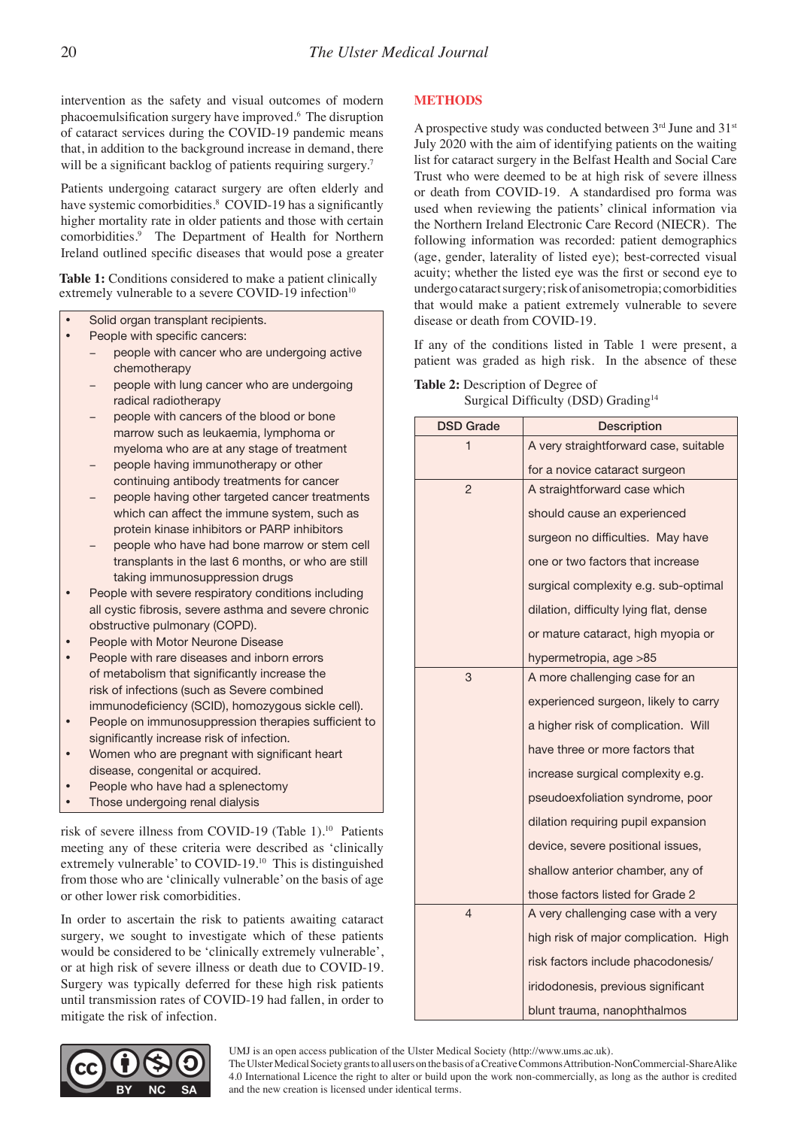intervention as the safety and visual outcomes of modern phacoemulsification surgery have improved.<sup>6</sup> The disruption of cataract services during the COVID-19 pandemic means that, in addition to the background increase in demand, there will be a significant backlog of patients requiring surgery.<sup>7</sup>

Patients undergoing cataract surgery are often elderly and have systemic comorbidities.<sup>8</sup> COVID-19 has a significantly higher mortality rate in older patients and those with certain comorbidities.9 The Department of Health for Northern Ireland outlined specific diseases that would pose a greater

Table 1: Conditions considered to make a patient clinically extremely vulnerable to a severe COVID-19 infection<sup>10</sup>

- Solid organ transplant recipients.
- People with specific cancers:
	- people with cancer who are undergoing active chemotherapy
	- people with lung cancer who are undergoing radical radiotherapy
	- people with cancers of the blood or bone marrow such as leukaemia, lymphoma or myeloma who are at any stage of treatment
	- people having immunotherapy or other continuing antibody treatments for cancer
	- people having other targeted cancer treatments which can affect the immune system, such as protein kinase inhibitors or PARP inhibitors
	- people who have had bone marrow or stem cell transplants in the last 6 months, or who are still taking immunosuppression drugs
- People with severe respiratory conditions including all cystic fibrosis, severe asthma and severe chronic obstructive pulmonary (COPD).
- People with Motor Neurone Disease
- People with rare diseases and inborn errors of metabolism that significantly increase the risk of infections (such as Severe combined immunodeficiency (SCID), homozygous sickle cell).
- People on immunosuppression therapies sufficient to significantly increase risk of infection.
- Women who are pregnant with significant heart disease, congenital or acquired.
- People who have had a splenectomy
- Those undergoing renal dialysis

risk of severe illness from COVID-19 (Table 1).10 Patients meeting any of these criteria were described as 'clinically extremely vulnerable' to COVID-19.10 This is distinguished from those who are 'clinically vulnerable' on the basis of age or other lower risk comorbidities.

In order to ascertain the risk to patients awaiting cataract surgery, we sought to investigate which of these patients would be considered to be 'clinically extremely vulnerable', or at high risk of severe illness or death due to COVID-19. Surgery was typically deferred for these high risk patients until transmission rates of COVID-19 had fallen, in order to mitigate the risk of infection.

#### **METHODS**

A prospective study was conducted between  $3<sup>rd</sup>$  June and  $31<sup>st</sup>$ July 2020 with the aim of identifying patients on the waiting list for cataract surgery in the Belfast Health and Social Care Trust who were deemed to be at high risk of severe illness or death from COVID-19. A standardised pro forma was used when reviewing the patients' clinical information via the Northern Ireland Electronic Care Record (NIECR). The following information was recorded: patient demographics (age, gender, laterality of listed eye); best-corrected visual acuity; whether the listed eye was the first or second eye to undergo cataract surgery; risk of anisometropia; comorbidities that would make a patient extremely vulnerable to severe disease or death from COVID-19.

If any of the conditions listed in Table 1 were present, a patient was graded as high risk. In the absence of these

#### **Table 2:** Description of Degree of Surgical Difficulty (DSD) Grading<sup>14</sup>

| <b>DSD Grade</b> | <b>Description</b>                                                       |  |  |
|------------------|--------------------------------------------------------------------------|--|--|
| 1                | A very straightforward case, suitable                                    |  |  |
|                  | for a novice cataract surgeon                                            |  |  |
| $\overline{2}$   | A straightforward case which                                             |  |  |
|                  | should cause an experienced                                              |  |  |
|                  | surgeon no difficulties. May have                                        |  |  |
|                  | one or two factors that increase<br>surgical complexity e.g. sub-optimal |  |  |
|                  |                                                                          |  |  |
|                  | dilation, difficulty lying flat, dense                                   |  |  |
|                  | or mature cataract, high myopia or                                       |  |  |
|                  | hypermetropia, age >85                                                   |  |  |
| 3                | A more challenging case for an                                           |  |  |
|                  | experienced surgeon, likely to carry                                     |  |  |
|                  | a higher risk of complication. Will                                      |  |  |
|                  | have three or more factors that<br>increase surgical complexity e.g.     |  |  |
|                  |                                                                          |  |  |
|                  | pseudoexfoliation syndrome, poor                                         |  |  |
|                  | dilation requiring pupil expansion                                       |  |  |
|                  | device, severe positional issues,                                        |  |  |
|                  | shallow anterior chamber, any of                                         |  |  |
|                  | those factors listed for Grade 2                                         |  |  |
| 4                | A very challenging case with a very                                      |  |  |
|                  | high risk of major complication. High                                    |  |  |
|                  | risk factors include phacodonesis/                                       |  |  |
|                  | iridodonesis, previous significant                                       |  |  |
|                  | blunt trauma, nanophthalmos                                              |  |  |

UMJ is an open access publication of the Ulster Medical Society (http://www.ums.ac.uk).

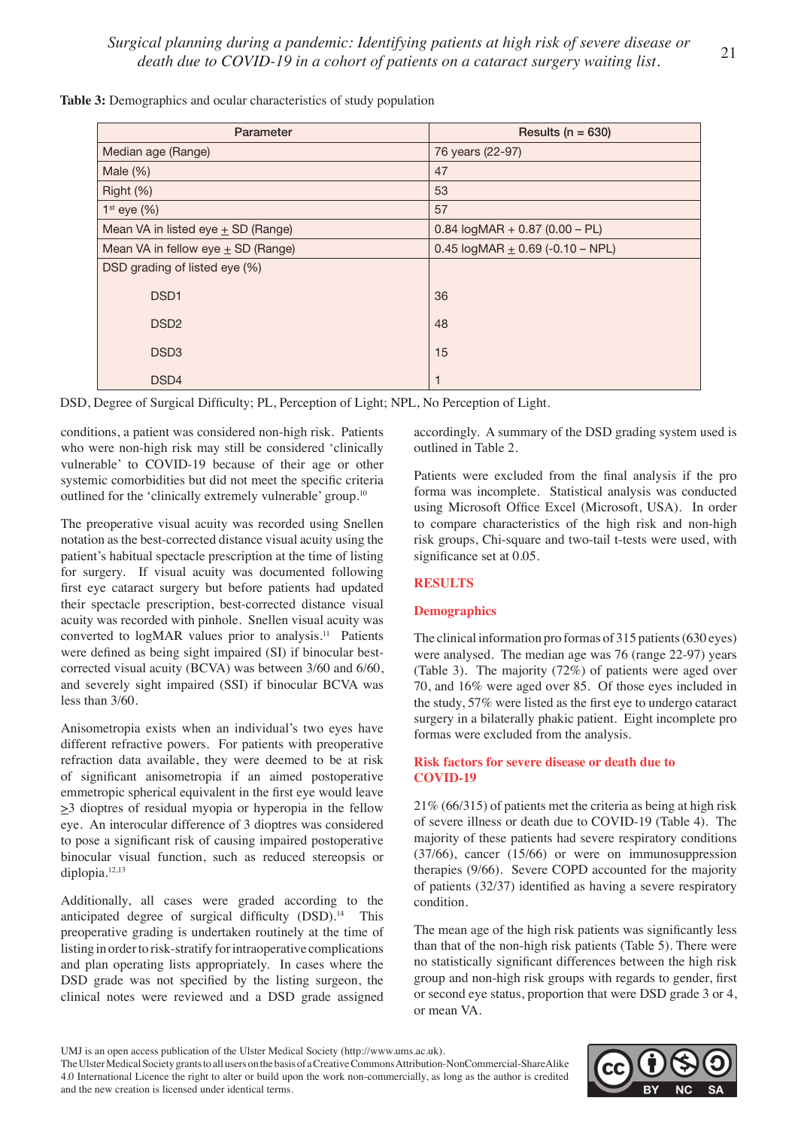| Parameter                              | Results ( $n = 630$ )              |
|----------------------------------------|------------------------------------|
| Median age (Range)                     | 76 years (22-97)                   |
| Male $(\%)$                            | 47                                 |
| Right $(\%)$                           | 53                                 |
| $1st$ eye $(\%)$                       | 57                                 |
| Mean VA in listed eye $\pm$ SD (Range) | $0.84$ logMAR + 0.87 (0.00 - PL)   |
| Mean VA in fellow eye $\pm$ SD (Range) | 0.45 $logMAR + 0.69$ (-0.10 – NPL) |
| DSD grading of listed eye (%)          |                                    |
| DSD <sub>1</sub>                       | 36                                 |
| DSD <sub>2</sub>                       | 48                                 |
| DSD <sub>3</sub>                       | 15                                 |
| DSD <sub>4</sub>                       | 1                                  |

**Table 3:** Demographics and ocular characteristics of study population

DSD, Degree of Surgical Difficulty; PL, Perception of Light; NPL, No Perception of Light.

conditions, a patient was considered non-high risk. Patients who were non-high risk may still be considered 'clinically vulnerable' to COVID-19 because of their age or other systemic comorbidities but did not meet the specific criteria outlined for the 'clinically extremely vulnerable' group.10

The preoperative visual acuity was recorded using Snellen notation as the best-corrected distance visual acuity using the patient's habitual spectacle prescription at the time of listing for surgery. If visual acuity was documented following first eye cataract surgery but before patients had updated their spectacle prescription, best-corrected distance visual acuity was recorded with pinhole. Snellen visual acuity was converted to logMAR values prior to analysis.<sup>11</sup> Patients were defined as being sight impaired (SI) if binocular bestcorrected visual acuity (BCVA) was between 3/60 and 6/60, and severely sight impaired (SSI) if binocular BCVA was less than 3/60.

Anisometropia exists when an individual's two eyes have different refractive powers. For patients with preoperative refraction data available, they were deemed to be at risk of significant anisometropia if an aimed postoperative emmetropic spherical equivalent in the first eye would leave  $\geq$ 3 dioptres of residual myopia or hyperopia in the fellow eye. An interocular difference of 3 dioptres was considered to pose a significant risk of causing impaired postoperative binocular visual function, such as reduced stereopsis or diplopia.12,13

Additionally, all cases were graded according to the anticipated degree of surgical difficulty (DSD).<sup>14</sup> This preoperative grading is undertaken routinely at the time of listing in order to risk-stratify for intraoperative complications and plan operating lists appropriately. In cases where the DSD grade was not specified by the listing surgeon, the clinical notes were reviewed and a DSD grade assigned

accordingly. A summary of the DSD grading system used is outlined in Table 2.

Patients were excluded from the final analysis if the pro forma was incomplete. Statistical analysis was conducted using Microsoft Office Excel (Microsoft, USA). In order to compare characteristics of the high risk and non-high risk groups, Chi-square and two-tail t-tests were used, with significance set at 0.05.

## **RESULTS**

## **Demographics**

The clinical information pro formas of 315 patients (630 eyes) were analysed. The median age was 76 (range 22-97) years (Table 3). The majority (72%) of patients were aged over 70, and 16% were aged over 85. Of those eyes included in the study, 57% were listed as the first eye to undergo cataract surgery in a bilaterally phakic patient. Eight incomplete pro formas were excluded from the analysis.

## **Risk factors for severe disease or death due to COVID-19**

21% (66/315) of patients met the criteria as being at high risk of severe illness or death due to COVID-19 (Table 4). The majority of these patients had severe respiratory conditions (37/66), cancer (15/66) or were on immunosuppression therapies (9/66). Severe COPD accounted for the majority of patients (32/37) identified as having a severe respiratory condition.

The mean age of the high risk patients was significantly less than that of the non-high risk patients (Table 5). There were no statistically significant differences between the high risk group and non-high risk groups with regards to gender, first or second eye status, proportion that were DSD grade 3 or 4, or mean VA.



UMJ is an open access publication of the Ulster Medical Society (http://www.ums.ac.uk).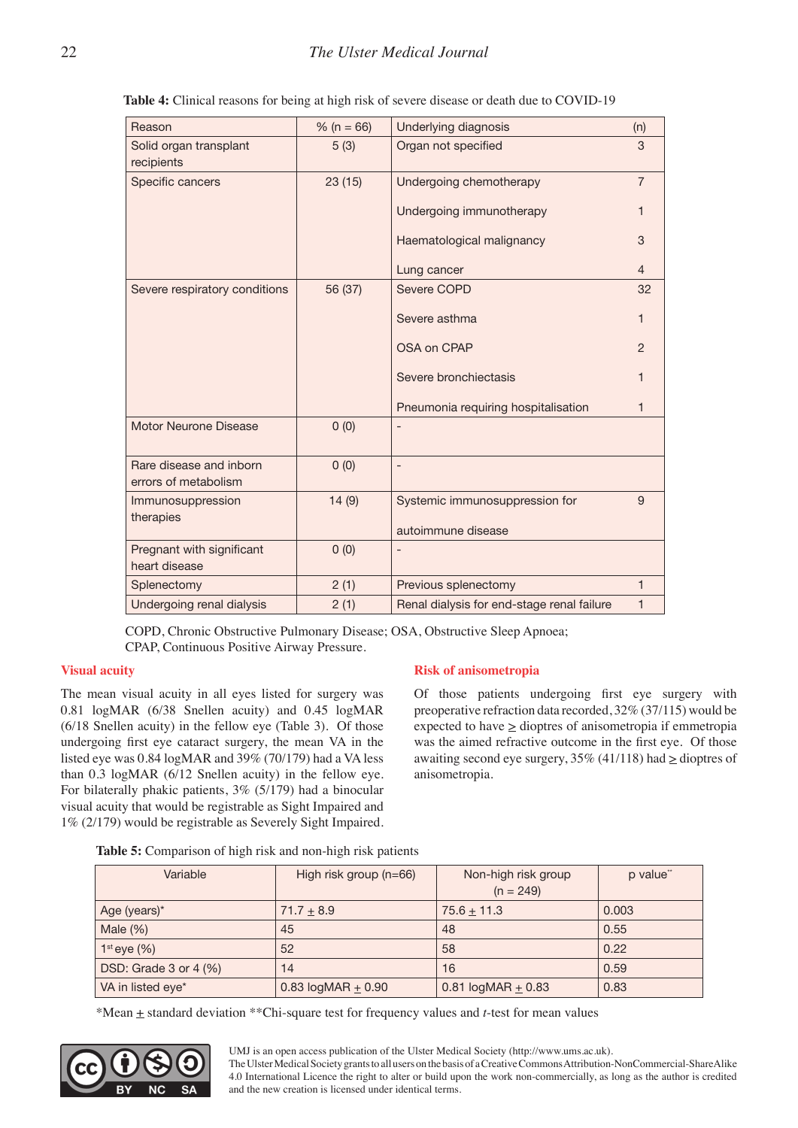| Reason                                          | % ( $n = 66$ ) | Underlying diagnosis                       | (n)            |
|-------------------------------------------------|----------------|--------------------------------------------|----------------|
| Solid organ transplant<br>recipients            | 5(3)           | Organ not specified                        | 3              |
| Specific cancers                                | 23(15)         | Undergoing chemotherapy                    | $\overline{7}$ |
|                                                 |                | Undergoing immunotherapy                   | 1              |
|                                                 |                | Haematological malignancy                  | 3              |
|                                                 |                | Lung cancer                                | $\overline{4}$ |
| Severe respiratory conditions                   | 56 (37)        | Severe COPD                                | 32             |
|                                                 |                | Severe asthma                              | 1              |
|                                                 |                | <b>OSA on CPAP</b>                         | $\overline{2}$ |
|                                                 |                | Severe bronchiectasis                      | 1              |
|                                                 |                | Pneumonia requiring hospitalisation        | 1              |
| Motor Neurone Disease                           | 0(0)           |                                            |                |
| Rare disease and inborn<br>errors of metabolism | 0(0)           |                                            |                |
| Immunosuppression<br>therapies                  | 14(9)          | Systemic immunosuppression for             | 9              |
|                                                 |                | autoimmune disease                         |                |
| Pregnant with significant<br>heart disease      | 0(0)           |                                            |                |
| Splenectomy                                     | 2(1)           | Previous splenectomy                       | 1              |
| Undergoing renal dialysis                       | 2(1)           | Renal dialysis for end-stage renal failure | 1              |

**Table 4:** Clinical reasons for being at high risk of severe disease or death due to COVID-19

COPD, Chronic Obstructive Pulmonary Disease; OSA, Obstructive Sleep Apnoea; CPAP, Continuous Positive Airway Pressure.

## **Visual acuity**

The mean visual acuity in all eyes listed for surgery was 0.81 logMAR (6/38 Snellen acuity) and 0.45 logMAR (6/18 Snellen acuity) in the fellow eye (Table 3). Of those undergoing first eye cataract surgery, the mean VA in the listed eye was 0.84 logMAR and 39% (70/179) had a VA less than 0.3 logMAR (6/12 Snellen acuity) in the fellow eye. For bilaterally phakic patients, 3% (5/179) had a binocular visual acuity that would be registrable as Sight Impaired and 1% (2/179) would be registrable as Severely Sight Impaired.

## **Risk of anisometropia**

Of those patients undergoing first eye surgery with preoperative refraction data recorded, 32% (37/115) would be expected to have  $\geq$  dioptres of anisometropia if emmetropia was the aimed refractive outcome in the first eye. Of those awaiting second eye surgery,  $35\%$  (41/118) had  $\geq$  dioptres of anisometropia.

**Table 5:** Comparison of high risk and non-high risk patients

| Variable              | High risk group $(n=66)$ | Non-high risk group<br>$(n = 249)$ | p value" |
|-----------------------|--------------------------|------------------------------------|----------|
| Age (years)*          | $71.7 + 8.9$             | $75.6 + 11.3$                      | 0.003    |
| Male $(\%)$           | 45                       | 48                                 | 0.55     |
| $1st$ eye $(\%)$      | 52                       | 58                                 | 0.22     |
| DSD: Grade 3 or 4 (%) | 14                       | 16                                 | 0.59     |
| VA in listed eye*     | $0.83$ logMAR + $0.90$   | $0.81$ logMAR + 0.83               | 0.83     |

\*Mean + standard deviation \*\*Chi-square test for frequency values and *t*-test for mean values

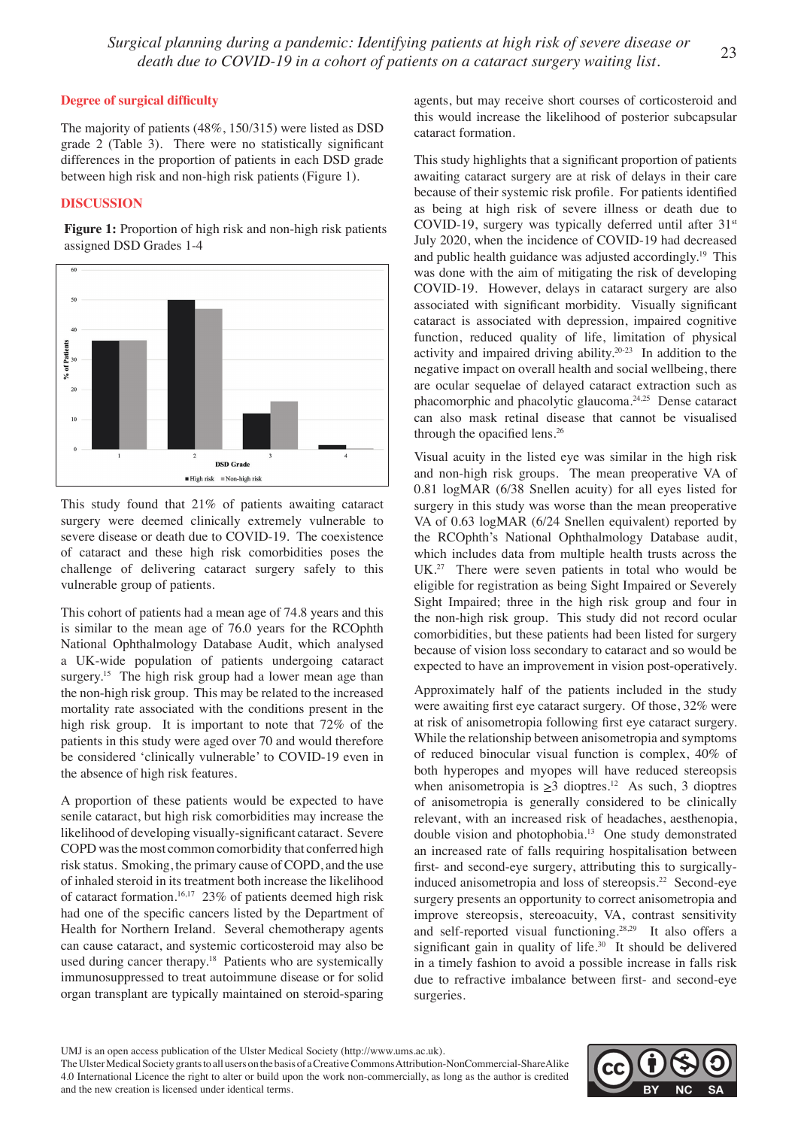*Surgical planning during a pandemic: Identifying patients at high risk of severe disease or death due to COVID-19 in a cohort of patients on a cataract surgery waiting list.* <sup>23</sup>

#### **Degree of surgical difficulty**

The majority of patients (48%, 150/315) were listed as DSD grade 2 (Table 3). There were no statistically significant differences in the proportion of patients in each DSD grade between high risk and non-high risk patients (Figure 1).

#### **DISCUSSION**

Figure 1: Proportion of high risk and non-high risk patients assigned DSD Grades 1-4



This study found that 21% of patients awaiting cataract surgery were deemed clinically extremely vulnerable to severe disease or death due to COVID-19. The coexistence of cataract and these high risk comorbidities poses the challenge of delivering cataract surgery safely to this vulnerable group of patients.

This cohort of patients had a mean age of 74.8 years and this is similar to the mean age of 76.0 years for the RCOphth National Ophthalmology Database Audit, which analysed a UK-wide population of patients undergoing cataract surgery.<sup>15</sup> The high risk group had a lower mean age than the non-high risk group. This may be related to the increased mortality rate associated with the conditions present in the high risk group. It is important to note that 72% of the patients in this study were aged over 70 and would therefore be considered 'clinically vulnerable' to COVID-19 even in the absence of high risk features.

A proportion of these patients would be expected to have senile cataract, but high risk comorbidities may increase the likelihood of developing visually-significant cataract. Severe COPD was the most common comorbidity that conferred high risk status. Smoking, the primary cause of COPD, and the use of inhaled steroid in its treatment both increase the likelihood of cataract formation.<sup>16,17</sup> 23% of patients deemed high risk had one of the specific cancers listed by the Department of Health for Northern Ireland. Several chemotherapy agents can cause cataract, and systemic corticosteroid may also be used during cancer therapy.<sup>18</sup> Patients who are systemically immunosuppressed to treat autoimmune disease or for solid organ transplant are typically maintained on steroid-sparing agents, but may receive short courses of corticosteroid and this would increase the likelihood of posterior subcapsular cataract formation.

This study highlights that a significant proportion of patients awaiting cataract surgery are at risk of delays in their care because of their systemic risk profile. For patients identified as being at high risk of severe illness or death due to COVID-19, surgery was typically deferred until after  $31<sup>st</sup>$ July 2020, when the incidence of COVID-19 had decreased and public health guidance was adjusted accordingly.<sup>19</sup> This was done with the aim of mitigating the risk of developing COVID-19. However, delays in cataract surgery are also associated with significant morbidity. Visually significant cataract is associated with depression, impaired cognitive function, reduced quality of life, limitation of physical activity and impaired driving ability.20-23 In addition to the negative impact on overall health and social wellbeing, there are ocular sequelae of delayed cataract extraction such as phacomorphic and phacolytic glaucoma.24,25 Dense cataract can also mask retinal disease that cannot be visualised through the opacified lens.<sup>26</sup>

Visual acuity in the listed eye was similar in the high risk and non-high risk groups. The mean preoperative VA of 0.81 logMAR (6/38 Snellen acuity) for all eyes listed for surgery in this study was worse than the mean preoperative VA of 0.63 logMAR (6/24 Snellen equivalent) reported by the RCOphth's National Ophthalmology Database audit, which includes data from multiple health trusts across the UK.<sup>27</sup> There were seven patients in total who would be eligible for registration as being Sight Impaired or Severely Sight Impaired; three in the high risk group and four in the non-high risk group. This study did not record ocular comorbidities, but these patients had been listed for surgery because of vision loss secondary to cataract and so would be expected to have an improvement in vision post-operatively.

Approximately half of the patients included in the study were awaiting first eye cataract surgery. Of those, 32% were at risk of anisometropia following first eye cataract surgery. While the relationship between anisometropia and symptoms of reduced binocular visual function is complex, 40% of both hyperopes and myopes will have reduced stereopsis when anisometropia is  $\geq 3$  dioptres.<sup>12</sup> As such, 3 dioptres of anisometropia is generally considered to be clinically relevant, with an increased risk of headaches, aesthenopia, double vision and photophobia.13 One study demonstrated an increased rate of falls requiring hospitalisation between first- and second-eye surgery, attributing this to surgicallyinduced anisometropia and loss of stereopsis.22 Second-eye surgery presents an opportunity to correct anisometropia and improve stereopsis, stereoacuity, VA, contrast sensitivity and self-reported visual functioning.28,29 It also offers a significant gain in quality of life. $30$  It should be delivered in a timely fashion to avoid a possible increase in falls risk due to refractive imbalance between first- and second-eye surgeries.

The Ulster Medical Society grants to all users on the basis of a Creative Commons Attribution-NonCommercial-ShareAlike 4.0 International Licence the right to alter or build upon the work non-commercially, as long as the author is credited and the new creation is licensed under identical terms.



UMJ is an open access publication of the Ulster Medical Society (http://www.ums.ac.uk).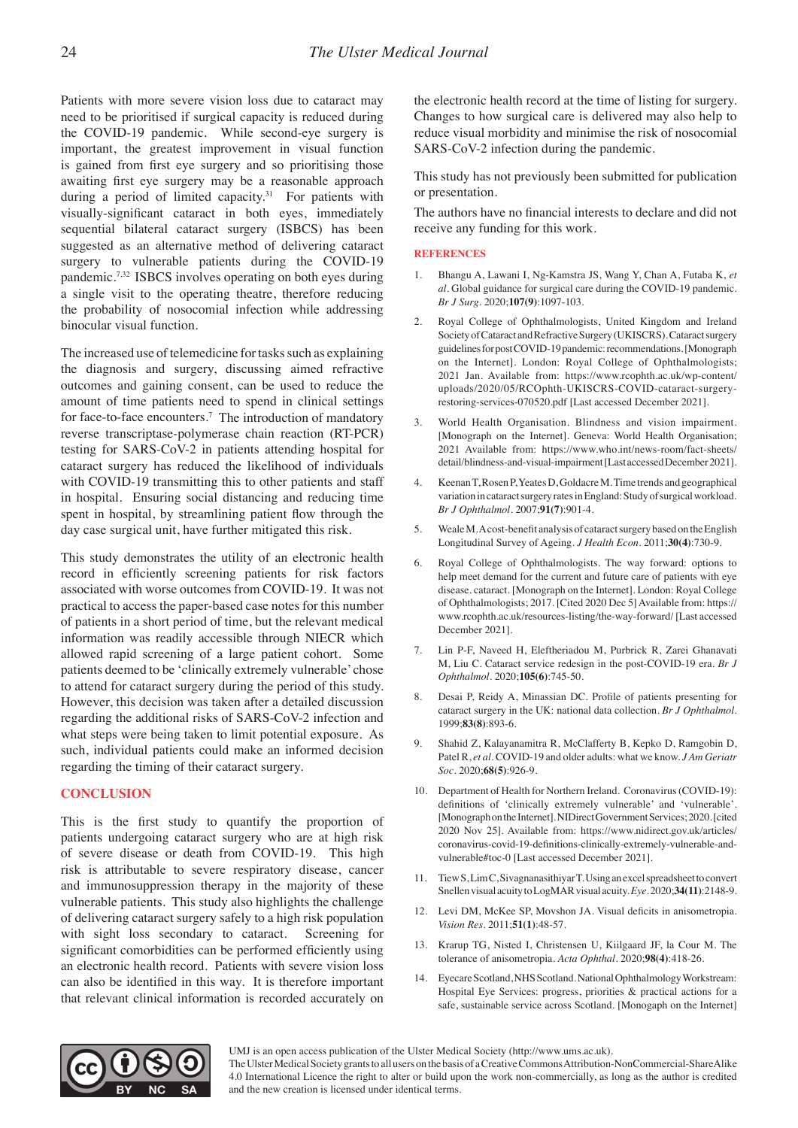Patients with more severe vision loss due to cataract may need to be prioritised if surgical capacity is reduced during the COVID-19 pandemic. While second-eye surgery is important, the greatest improvement in visual function is gained from first eye surgery and so prioritising those awaiting first eye surgery may be a reasonable approach during a period of limited capacity.<sup>31</sup> For patients with visually-significant cataract in both eyes, immediately sequential bilateral cataract surgery (ISBCS) has been suggested as an alternative method of delivering cataract surgery to vulnerable patients during the COVID-19 pandemic.7,32 ISBCS involves operating on both eyes during a single visit to the operating theatre, therefore reducing the probability of nosocomial infection while addressing binocular visual function.

The increased use of telemedicine for tasks such as explaining the diagnosis and surgery, discussing aimed refractive outcomes and gaining consent, can be used to reduce the amount of time patients need to spend in clinical settings for face-to-face encounters.<sup>7</sup> The introduction of mandatory reverse transcriptase-polymerase chain reaction (RT-PCR) testing for SARS-CoV-2 in patients attending hospital for cataract surgery has reduced the likelihood of individuals with COVID-19 transmitting this to other patients and staff in hospital. Ensuring social distancing and reducing time spent in hospital, by streamlining patient flow through the day case surgical unit, have further mitigated this risk.

This study demonstrates the utility of an electronic health record in efficiently screening patients for risk factors associated with worse outcomes from COVID-19. It was not practical to access the paper-based case notes for this number of patients in a short period of time, but the relevant medical information was readily accessible through NIECR which allowed rapid screening of a large patient cohort. Some patients deemed to be 'clinically extremely vulnerable' chose to attend for cataract surgery during the period of this study. However, this decision was taken after a detailed discussion regarding the additional risks of SARS-CoV-2 infection and what steps were being taken to limit potential exposure. As such, individual patients could make an informed decision regarding the timing of their cataract surgery.

#### **CONCLUSION**

This is the first study to quantify the proportion of patients undergoing cataract surgery who are at high risk of severe disease or death from COVID-19. This high risk is attributable to severe respiratory disease, cancer and immunosuppression therapy in the majority of these vulnerable patients. This study also highlights the challenge of delivering cataract surgery safely to a high risk population with sight loss secondary to cataract. Screening for significant comorbidities can be performed efficiently using an electronic health record. Patients with severe vision loss can also be identified in this way. It is therefore important that relevant clinical information is recorded accurately on

the electronic health record at the time of listing for surgery. Changes to how surgical care is delivered may also help to reduce visual morbidity and minimise the risk of nosocomial SARS-CoV-2 infection during the pandemic.

This study has not previously been submitted for publication or presentation.

The authors have no financial interests to declare and did not receive any funding for this work.

#### **REFERENCES**

- 1. Bhangu A, Lawani I, Ng-Kamstra JS, Wang Y, Chan A, Futaba K, *et al.* Global guidance for surgical care during the COVID-19 pandemic. *Br J Surg.* 2020;**107(9)**:1097-103.
- 2. Royal College of Ophthalmologists, United Kingdom and Ireland Society of Cataract and Refractive Surgery (UKISCRS). Cataract surgery guidelines for post COVID-19 pandemic: recommendations. [Monograph on the Internet]. London: Royal College of Ophthalmologists; 2021 Jan. Available from: https://www.rcophth.ac.uk/wp-content/ uploads/2020/05/RCOphth-UKISCRS-COVID-cataract-surgeryrestoring-services-070520.pdf [Last accessed December 2021].
- 3. World Health Organisation. Blindness and vision impairment. [Monograph on the Internet]. Geneva: World Health Organisation; 2021 Available from: https://www.who.int/news-room/fact-sheets/ detail/blindness-and-visual-impairment [Last accessed December 2021].
- 4. Keenan T, Rosen P, Yeates D, Goldacre M. Time trends and geographical variation in cataract surgery rates in England: Study of surgical workload. *Br J Ophthalmol.* 2007;**91(7)**:901-4.
- 5. Weale M. A cost-benefit analysis of cataract surgery based on the English Longitudinal Survey of Ageing. *J Health Econ*. 2011;**30(4)**:730-9.
- 6. Royal College of Ophthalmologists. The way forward: options to help meet demand for the current and future care of patients with eye disease. cataract. [Monograph on the Internet]. London: Royal College of Ophthalmologists; 2017. [Cited 2020 Dec 5] Available from: https:// www.rcophth.ac.uk/resources-listing/the-way-forward/ [Last accessed December 2021].
- 7. Lin P-F, Naveed H, Eleftheriadou M, Purbrick R, Zarei Ghanavati M, Liu C. Cataract service redesign in the post-COVID-19 era. *Br J Ophthalmol*. 2020;**105(6)**:745-50.
- 8. Desai P, Reidy A, Minassian DC. Profile of patients presenting for cataract surgery in the UK: national data collection. *Br J Ophthalmol.* 1999;**83(8)**:893-6.
- 9. Shahid Z, Kalayanamitra R, McClafferty B, Kepko D, Ramgobin D, Patel R, *et al.* COVID-19 and older adults: what we know. *J Am Geriatr Soc.* 2020;**68(5)**:926-9.
- 10. Department of Health for Northern Ireland. Coronavirus (COVID-19): definitions of 'clinically extremely vulnerable' and 'vulnerable'. [Monograph on the Internet]. NIDirect Government Services; 2020. [cited 2020 Nov 25]. Available from: https://www.nidirect.gov.uk/articles/ coronavirus-covid-19-definitions-clinically-extremely-vulnerable-andvulnerable#toc-0 [Last accessed December 2021].
- 11. Tiew S, Lim C, Sivagnanasithiyar T. Using an excel spreadsheet to convert Snellen visual acuity to LogMAR visual acuity. *Eye*. 2020;**34(11)**:2148-9.
- 12. Levi DM, McKee SP, Movshon JA. Visual deficits in anisometropia. *Vision Res.* 2011;**51(1)**:48-57.
- 13. Krarup TG, Nisted I, Christensen U, Kiilgaard JF, la Cour M. The tolerance of anisometropia. *Acta Ophthal*. 2020;**98(4)**:418-26.
- 14. Eyecare Scotland, NHS Scotland. National Ophthalmology Workstream: Hospital Eye Services: progress, priorities & practical actions for a safe, sustainable service across Scotland. [Monogaph on the Internet]



UMJ is an open access publication of the Ulster Medical Society (http://www.ums.ac.uk).